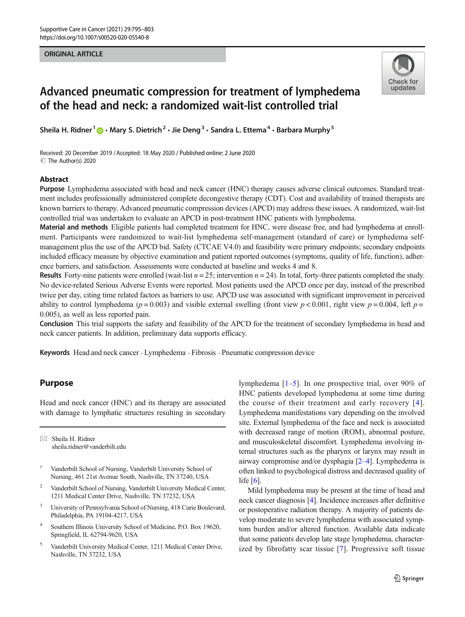#### ORIGINAL ARTICLE



# Advanced pneumatic compression for treatment of lymphedema of the head and neck: a randomized wait-list controlled trial

Sheila H. Ridner<sup>1</sup> **@**  $\cdot$  Mary S. Dietrich<sup>2</sup>  $\cdot$  Jie Deng<sup>3</sup>  $\cdot$  Sandra L. Ettema<sup>4</sup>  $\cdot$  Barbara Murphy<sup>5</sup>

Received: 20 December 2019 /Accepted: 18 May 2020 / Published online: 2 June 2020 C The Author(s) 2020

#### Abstract

Purpose Lymphedema associated with head and neck cancer (HNC) therapy causes adverse clinical outcomes. Standard treatment includes professionally administered complete decongestive therapy (CDT). Cost and availability of trained therapists are known barriers to therapy. Advanced pneumatic compression devices (APCD) may address these issues. A randomized, wait-list controlled trial was undertaken to evaluate an APCD in post-treatment HNC patients with lymphedema.

Material and methods Eligible patients had completed treatment for HNC, were disease free, and had lymphedema at enrollment. Participants were randomized to wait-list lymphedema self-management (standard of care) or lymphedema selfmanagement plus the use of the APCD bid. Safety (CTCAE V4.0) and feasibility were primary endpoints; secondary endpoints included efficacy measure by objective examination and patient reported outcomes (symptoms, quality of life, function), adherence barriers, and satisfaction. Assessments were conducted at baseline and weeks 4 and 8.

**Results** Forty-nine patients were enrolled (wait-list  $n = 25$ ; intervention  $n = 24$ ). In total, forty-three patients completed the study. No device-related Serious Adverse Events were reported. Most patients used the APCD once per day, instead of the prescribed twice per day, citing time related factors as barriers to use. APCD use was associated with significant improvement in perceived ability to control lymphedema ( $p = 0.003$ ) and visible external swelling (front view  $p < 0.001$ , right view  $p = 0.004$ , left  $p =$ 0.005), as well as less reported pain.

Conclusion This trial supports the safety and feasibility of the APCD for the treatment of secondary lymphedema in head and neck cancer patients. In addition, preliminary data supports efficacy.

Keywords Head and neck cancer . Lymphedema . Fibrosis . Pneumatic compression device

## Purpose

Head and neck cancer (HNC) and its therapy are associated with damage to lymphatic structures resulting in secondary

 $\boxtimes$  Sheila H. Ridner [sheila.ridner@vanderbilt.edu](mailto:sheila.ridner@vanderbilt.edu)

- <sup>1</sup> Vanderbilt School of Nursing, Vanderbilt University School of Nursing, 461 21st Avenue South, Nashville, TN 37240, USA
- <sup>2</sup> Vanderbilt School of Nursing, Vanderbilt University Medical Center, 1211 Medical Center Drive, Nashville, TN 37232, USA
- <sup>3</sup> University of Pennsylvania School of Nursing, 418 Curie Boulevard, Philadelphia, PA 19104-4217, USA
- <sup>4</sup> Southern Illinois University School of Medicine, P.O. Box 19620, Springfield, IL 62794-9620, USA
- <sup>5</sup> Vanderbilt University Medical Center, 1211 Medical Center Drive, Nashville, TN 37232, USA

lymphedema [[1](#page-7-0)–[5\]](#page-7-0). In one prospective trial, over 90% of HNC patients developed lymphedema at some time during the course of their treatment and early recovery [[4](#page-7-0)]. Lymphedema manifestations vary depending on the involved site. External lymphedema of the face and neck is associated with decreased range of motion (ROM), abnormal posture, and musculoskeletal discomfort. Lymphedema involving internal structures such as the pharynx or larynx may result in airway compromise and/or dysphagia [[2](#page-7-0)–[4\]](#page-7-0). Lymphedema is often linked to psychological distress and decreased quality of life  $[6]$  $[6]$  $[6]$ .

Mild lymphedema may be present at the time of head and neck cancer diagnosis [[4\]](#page-7-0). Incidence increases after definitive or postoperative radiation therapy. A majority of patients develop moderate to severe lymphedema with associated symptom burden and/or altered function. Available data indicate that some patients develop late stage lymphedema, characterized by fibrofatty scar tissue [[7](#page-7-0)]. Progressive soft tissue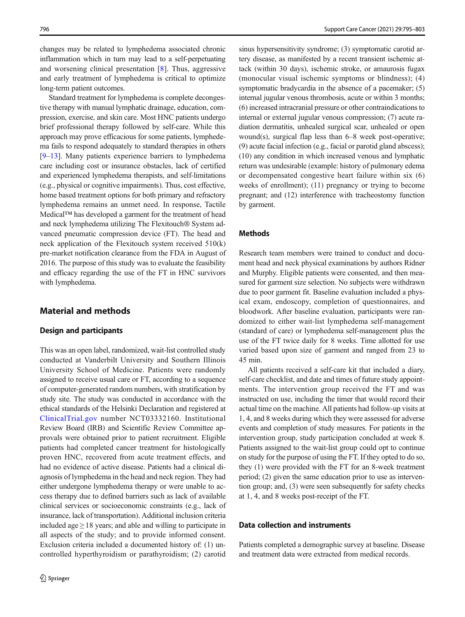changes may be related to lymphedema associated chronic inflammation which in turn may lead to a self-perpetuating and worsening clinical presentation [\[8](#page-7-0)]. Thus, aggressive and early treatment of lymphedema is critical to optimize long-term patient outcomes.

Standard treatment for lymphedema is complete decongestive therapy with manual lymphatic drainage, education, compression, exercise, and skin care. Most HNC patients undergo brief professional therapy followed by self-care. While this approach may prove efficacious for some patients, lymphedema fails to respond adequately to standard therapies in others [\[9](#page-7-0)–[13](#page-7-0)]. Many patients experience barriers to lymphedema care including cost or insurance obstacles, lack of certified and experienced lymphedema therapists, and self-limitations (e.g., physical or cognitive impairments). Thus, cost effective, home based treatment options for both primary and refractory lymphedema remains an unmet need. In response, Tactile Medical™ has developed a garment for the treatment of head and neck lymphedema utilizing The Flexitouch® System advanced pneumatic compression device (FT). The head and neck application of the Flexitouch system received 510(k) pre-market notification clearance from the FDA in August of 2016. The purpose of this study was to evaluate the feasibility and efficacy regarding the use of the FT in HNC survivors with lymphedema.

# Material and methods

## Design and participants

This was an open label, randomized, wait-list controlled study conducted at Vanderbilt University and Southern Illinois University School of Medicine. Patients were randomly assigned to receive usual care or FT, according to a sequence of computer-generated random numbers, with stratification by study site. The study was conducted in accordance with the ethical standards of the Helsinki Declaration and registered at [ClinicalTrial.gov](http://creativecommons.org/licenses/by/4.0/) number NCT03332160. Institutional Review Board (IRB) and Scientific Review Committee approvals were obtained prior to patient recruitment. Eligible patients had completed cancer treatment for histologically proven HNC, recovered from acute treatment effects, and had no evidence of active disease. Patients had a clinical diagnosis of lymphedema in the head and neck region. They had either undergone lymphedema therapy or were unable to access therapy due to defined barriers such as lack of available clinical services or socioeconomic constraints (e.g., lack of insurance, lack of transportation). Additional inclusion criteria included age  $\geq$  18 years; and able and willing to participate in all aspects of the study; and to provide informed consent. Exclusion criteria included a documented history of: (1) uncontrolled hyperthyroidism or parathyroidism; (2) carotid

sinus hypersensitivity syndrome; (3) symptomatic carotid artery disease, as manifested by a recent transient ischemic attack (within 30 days), ischemic stroke, or amaurosis fugax (monocular visual ischemic symptoms or blindness); (4) symptomatic bradycardia in the absence of a pacemaker; (5) internal jugular venous thrombosis, acute or within 3 months; (6) increased intracranial pressure or other contraindications to internal or external jugular venous compression; (7) acute radiation dermatitis, unhealed surgical scar, unhealed or open wound(s), surgical flap less than 6–8 week post-operative; (9) acute facial infection (e.g., facial or parotid gland abscess); (10) any condition in which increased venous and lymphatic return was undesirable (example: history of pulmonary edema or decompensated congestive heart failure within six (6) weeks of enrollment); (11) pregnancy or trying to become pregnant; and (12) interference with tracheostomy function by garment.

# **Methods**

Research team members were trained to conduct and document head and neck physical examinations by authors Ridner and Murphy. Eligible patients were consented, and then measured for garment size selection. No subjects were withdrawn due to poor garment fit. Baseline evaluation included a physical exam, endoscopy, completion of questionnaires, and bloodwork. After baseline evaluation, participants were randomized to either wait-list lymphedema self-management (standard of care) or lymphedema self-management plus the use of the FT twice daily for 8 weeks. Time allotted for use varied based upon size of garment and ranged from 23 to 45 min.

All patients received a self-care kit that included a diary, self-care checklist, and date and times of future study appointments. The intervention group received the FT and was instructed on use, including the timer that would record their actual time on the machine. All patients had follow-up visits at 1, 4, and 8 weeks during which they were assessed for adverse events and completion of study measures. For patients in the intervention group, study participation concluded at week 8. Patients assigned to the wait-list group could opt to continue on study for the purpose of using the FT. If they opted to do so, they (1) were provided with the FT for an 8-week treatment period; (2) given the same education prior to use as intervention group; and, (3) were seen subsequently for safety checks at 1, 4, and 8 weeks post-receipt of the FT.

## Data collection and instruments

Patients completed a demographic survey at baseline. Disease and treatment data were extracted from medical records.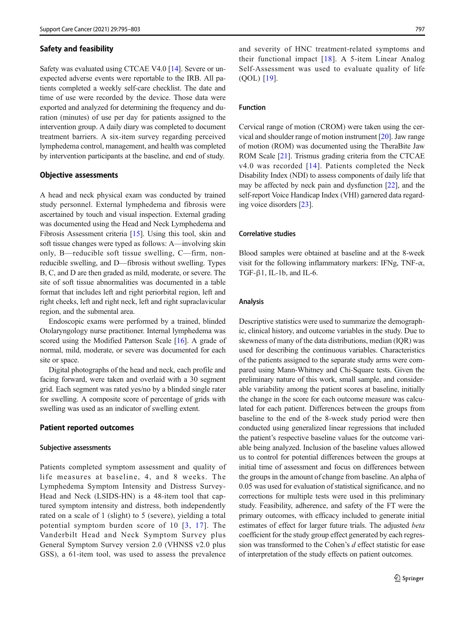#### Safety and feasibility

Safety was evaluated using CTCAE V4.0 [[14\]](#page-7-0). Severe or unexpected adverse events were reportable to the IRB. All patients completed a weekly self-care checklist. The date and time of use were recorded by the device. Those data were exported and analyzed for determining the frequency and duration (minutes) of use per day for patients assigned to the intervention group. A daily diary was completed to document treatment barriers. A six-item survey regarding perceived lymphedema control, management, and health was completed by intervention participants at the baseline, and end of study.

#### Objective assessments

A head and neck physical exam was conducted by trained study personnel. External lymphedema and fibrosis were ascertained by touch and visual inspection. External grading was documented using the Head and Neck Lymphedema and Fibrosis Assessment criteria [[15\]](#page-7-0). Using this tool, skin and soft tissue changes were typed as follows: A—involving skin only, B—reducible soft tissue swelling, C—firm, nonreducible swelling, and D—fibrosis without swelling. Types B, C, and D are then graded as mild, moderate, or severe. The site of soft tissue abnormalities was documented in a table format that includes left and right periorbital region, left and right cheeks, left and right neck, left and right supraclavicular region, and the submental area.

Endoscopic exams were performed by a trained, blinded Otolaryngology nurse practitioner. Internal lymphedema was scored using the Modified Patterson Scale [\[16](#page-7-0)]. A grade of normal, mild, moderate, or severe was documented for each site or space.

Digital photographs of the head and neck, each profile and facing forward, were taken and overlaid with a 30 segment grid. Each segment was rated yes/no by a blinded single rater for swelling. A composite score of percentage of grids with swelling was used as an indicator of swelling extent.

## Patient reported outcomes

#### Subjective assessments

Patients completed symptom assessment and quality of life measures at baseline, 4, and 8 weeks. The Lymphedema Symptom Intensity and Distress Survey-Head and Neck (LSIDS-HN) is a 48-item tool that captured symptom intensity and distress, both independently rated on a scale of 1 (slight) to 5 (severe), yielding a total potential symptom burden score of 10 [[3](#page-7-0), [17](#page-7-0)]. The Vanderbilt Head and Neck Symptom Survey plus General Symptom Survey version 2.0 (VHNSS v2.0 plus GSS), a 61-item tool, was used to assess the prevalence

and severity of HNC treatment-related symptoms and their functional impact [[18\]](#page-8-0). A 5-item Linear Analog Self-Assessment was used to evaluate quality of life (QOL) [\[19](#page-8-0)].

#### Function

Cervical range of motion (CROM) were taken using the cervical and shoulder range of motion instrument [\[20\]](#page-8-0). Jaw range of motion (ROM) was documented using the TheraBite Jaw ROM Scale [\[21\]](#page-8-0). Trismus grading criteria from the CTCAE v4.0 was recorded [[14](#page-7-0)]. Patients completed the Neck Disability Index (NDI) to assess components of daily life that may be affected by neck pain and dysfunction [[22](#page-8-0)], and the self-report Voice Handicap Index (VHI) garnered data regarding voice disorders [[23\]](#page-8-0).

#### Correlative studies

Blood samples were obtained at baseline and at the 8-week visit for the following inflammatory markers: IFNg, TNF- $\alpha$ , TGF- $\beta$ 1, IL-1b, and IL-6.

#### Analysis

Descriptive statistics were used to summarize the demographic, clinical history, and outcome variables in the study. Due to skewness of many of the data distributions, median (IQR) was used for describing the continuous variables. Characteristics of the patients assigned to the separate study arms were compared using Mann-Whitney and Chi-Square tests. Given the preliminary nature of this work, small sample, and considerable variability among the patient scores at baseline, initially the change in the score for each outcome measure was calculated for each patient. Differences between the groups from baseline to the end of the 8-week study period were then conducted using generalized linear regressions that included the patient's respective baseline values for the outcome variable being analyzed. Inclusion of the baseline values allowed us to control for potential differences between the groups at initial time of assessment and focus on differences between the groups in the amount of change from baseline. An alpha of 0.05 was used for evaluation of statistical significance, and no corrections for multiple tests were used in this preliminary study. Feasibility, adherence, and safety of the FT were the primary outcomes, with efficacy included to generate initial estimates of effect for larger future trials. The adjusted beta coefficient for the study group effect generated by each regression was transformed to the Cohen's d effect statistic for ease of interpretation of the study effects on patient outcomes.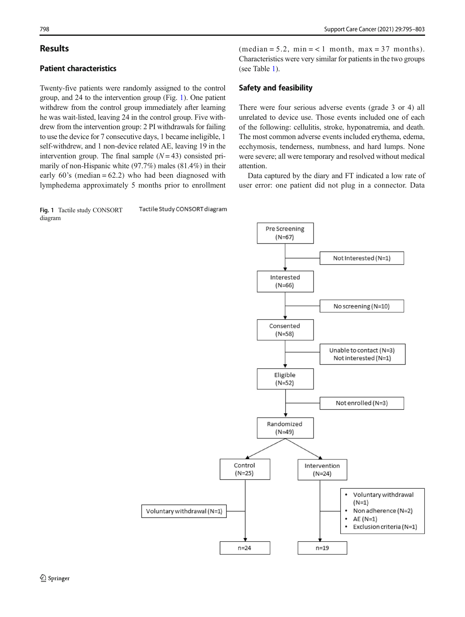# **Results**

# Patient characteristics

Twenty-five patients were randomly assigned to the control group, and 24 to the intervention group (Fig. 1). One patient withdrew from the control group immediately after learning he was wait-listed, leaving 24 in the control group. Five withdrew from the intervention group: 2 PI withdrawals for failing to use the device for 7 consecutive days, 1 became ineligible, 1 self-withdrew, and 1 non-device related AE, leaving 19 in the intervention group. The final sample  $(N = 43)$  consisted primarily of non-Hispanic white (97.7%) males (81.4%) in their early  $60$ 's (median =  $62.2$ ) who had been diagnosed with lymphedema approximately 5 months prior to enrollment

Tactile Study CONSORT diagram Fig. 1 Tactile study CONSORT diagram

 $(median = 5.2, min = < 1, month, max = 37, months).$ Characteristics were very similar for patients in the two groups (see Table [1](#page-4-0)).

## Safety and feasibility

There were four serious adverse events (grade 3 or 4) all unrelated to device use. Those events included one of each of the following: cellulitis, stroke, hyponatremia, and death. The most common adverse events included erythema, edema, ecchymosis, tenderness, numbness, and hard lumps. None were severe; all were temporary and resolved without medical attention.

Data captured by the diary and FT indicated a low rate of user error: one patient did not plug in a connector. Data

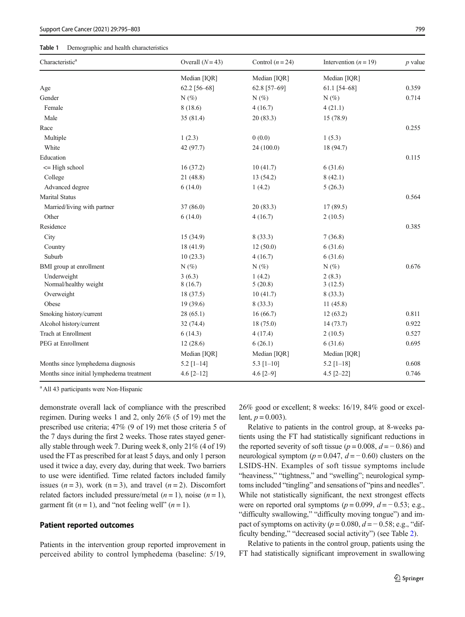#### <span id="page-4-0"></span>Table 1 Demographic and health characteristics

| Characteristic <sup>a</sup>               | Overall $(N=43)$ | Control $(n = 24)$ | Intervention $(n = 19)$ | $p$ value |
|-------------------------------------------|------------------|--------------------|-------------------------|-----------|
|                                           | Median [IQR]     | Median [IQR]       | Median [IQR]            |           |
| Age                                       | 62.2 [56-68]     | 62.8 [57-69]       | 61.1 [54-68]            | 0.359     |
| Gender                                    | $N(\%)$          | $N(\%)$            | $N(\%)$                 | 0.714     |
| Female                                    | 8(18.6)          | 4(16.7)            | 4(21.1)                 |           |
| Male                                      | 35(81.4)         | 20(83.3)           | 15 (78.9)               |           |
| Race                                      |                  |                    |                         | 0.255     |
| Multiple                                  | 1(2.3)           | 0(0.0)             | 1(5.3)                  |           |
| White                                     | 42 (97.7)        | 24 (100.0)         | 18 (94.7)               |           |
| Education                                 |                  |                    |                         | 0.115     |
| $\leq$ High school                        | 16(37.2)         | 10(41.7)           | 6(31.6)                 |           |
| College                                   | 21 (48.8)        | 13 (54.2)          | 8(42.1)                 |           |
| Advanced degree                           | 6(14.0)          | 1(4.2)             | 5(26.3)                 |           |
| <b>Marital Status</b>                     |                  |                    |                         | 0.564     |
| Married/living with partner               | 37(86.0)         | 20(83.3)           | 17(89.5)                |           |
| Other                                     | 6(14.0)          | 4(16.7)            | 2(10.5)                 |           |
| Residence                                 |                  |                    |                         | 0.385     |
| City                                      | 15 (34.9)        | 8(33.3)            | 7(36.8)                 |           |
| Country                                   | 18 (41.9)        | 12(50.0)           | 6(31.6)                 |           |
| Suburb                                    | 10(23.3)         | 4(16.7)            | 6(31.6)                 |           |
| BMI group at enrollment                   | $N(\%)$          | $N(\%)$            | $N(\%)$                 | 0.676     |
| Underweight                               | 3(6.3)           | 1(4.2)             | 2(8.3)                  |           |
| Normal/healthy weight                     | 8(16.7)          | 5(20.8)            | 3(12.5)                 |           |
| Overweight                                | 18 (37.5)        | 10(41.7)           | 8(33.3)                 |           |
| Obese                                     | 19(39.6)         | 8(33.3)            | 11(45.8)                |           |
| Smoking history/current                   | 28(65.1)         | 16(66.7)           | 12(63.2)                | 0.811     |
| Alcohol history/current                   | 32(74.4)         | 18(75.0)           | 14(73.7)                | 0.922     |
| Trach at Enrollment                       | 6(14.3)          | 4(17.4)            | 2(10.5)                 | 0.527     |
| PEG at Enrollment                         | 12(28.6)         | 6(26.1)            | 6(31.6)                 | 0.695     |
|                                           | Median [IQR]     | Median [IQR]       | Median [IQR]            |           |
| Months since lymphedema diagnosis         | $5.2$ [1-14]     | 5.3 $[1-10]$       | $5.2$ [1-18]            | 0.608     |
| Months since initial lymphedema treatment | 4.6 $[2-12]$     | $4.6 [2 - 9]$      | $4.5$ [2-22]            | 0.746     |

<sup>a</sup> All 43 participants were Non-Hispanic

demonstrate overall lack of compliance with the prescribed regimen. During weeks 1 and 2, only 26% (5 of 19) met the prescribed use criteria; 47% (9 of 19) met those criteria 5 of the 7 days during the first 2 weeks. Those rates stayed generally stable through week 7. During week 8, only 21% (4 of 19) used the FT as prescribed for at least 5 days, and only 1 person used it twice a day, every day, during that week. Two barriers to use were identified. Time related factors included family issues  $(n = 3)$ , work  $(n = 3)$ , and travel  $(n = 2)$ . Discomfort related factors included pressure/metal  $(n = 1)$ , noise  $(n = 1)$ , garment fit  $(n = 1)$ , and "not feeling well"  $(n = 1)$ .

## Patient reported outcomes

Patients in the intervention group reported improvement in perceived ability to control lymphedema (baseline: 5/19, 26% good or excellent; 8 weeks: 16/19, 84% good or excellent,  $p = 0.003$ ).

Relative to patients in the control group, at 8-weeks patients using the FT had statistically significant reductions in the reported severity of soft tissue ( $p = 0.008$ ,  $d = -0.86$ ) and neurological symptom ( $p = 0.047$ ,  $d = -0.60$ ) clusters on the LSIDS-HN. Examples of soft tissue symptoms include "heaviness," "tightness," and "swelling"; neurological symptoms included "tingling" and sensations of "pins and needles". While not statistically significant, the next strongest effects were on reported oral symptoms ( $p = 0.099$ ,  $d = -0.53$ ; e.g., "difficulty swallowing," "difficulty moving tongue") and impact of symptoms on activity ( $p = 0.080$ ,  $d = -0.58$ ; e.g., "difficulty bending," "decreased social activity") (see Table [2](#page-5-0)).

Relative to patients in the control group, patients using the FT had statistically significant improvement in swallowing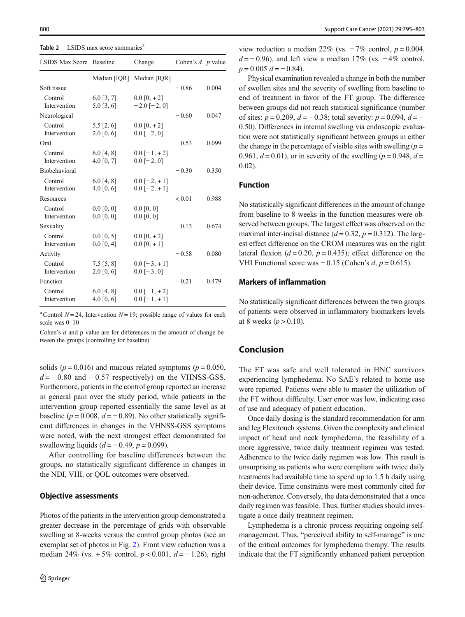<span id="page-5-0"></span>Table 2 LSIDS max score summaries<sup>6</sup>

| <b>LSIDS Max Score</b>  | <b>Baseline</b>               | Change                                 | Cohen's $d$ p value |       |
|-------------------------|-------------------------------|----------------------------------------|---------------------|-------|
|                         | Median [IQR]                  | Median [IQR]                           |                     |       |
| Soft tissue             |                               |                                        | $-0.86$             | 0.004 |
| Control<br>Intervention | $6.0$ [3, 7]<br>$5.0$ [3, 6]  | $0.0$ [0, $+2$ ]<br>$-2.0$ [ $-2, 0$ ] |                     |       |
| Neurological            |                               |                                        | $-0.60$             | 0.047 |
| Control<br>Intervention | $5.5$ [2, 6]<br>$2.0\ [0, 6]$ | $0.0$ [0, $+2$ ]<br>$0.0[-2, 0]$       |                     |       |
| Oral                    |                               |                                        | $-0.53$             | 0.099 |
| Control<br>Intervention | $6.0$ [4, 8]<br>4.0 $[0, 7]$  | $0.0$ [-1, +2]<br>$0.0$ [-2, 0]        |                     |       |
| Biobehavioral           |                               |                                        | $-0.30$             | 0.350 |
| Control<br>Intervention | $6.0$ [4, 8]<br>4.0 $[0, 6]$  | $0.0$ [-2, +1]<br>$0.0$ [-2, +1]       |                     |       |
| Resources               |                               |                                        | < 0.01              | 0.988 |
| Control<br>Intervention | $0.0$ [0, 0]<br>$0.0\ [0, 0]$ | $0.0$ [0, 0]<br>$0.0$ [0, 0]           |                     |       |
| Sexuality               |                               |                                        | $-0.13$             | 0.674 |
| Control<br>Intervention | $0.0$ [0, 5]<br>$0.0$ [0, 4]  | $0.0$ [0, $+2$ ]<br>$0.0$ [0, +1]      |                     |       |
| Activity                |                               |                                        | $-0.58$             | 0.080 |
| Control<br>Intervention | $7.5$ [5, 8]<br>$2.0\ [0, 6]$ | $0.0$ [-3, +1]<br>$0.0$ [-3, 0]        |                     |       |
| Function                |                               |                                        | $-0.21$             | 0.479 |
| Control<br>Intervention | 6.0 [4, 8]<br>4.0 $[0, 6]$    | $0.0$ [-1, +2]<br>$0.0$ [-1, +1]       |                     |       |

<sup>a</sup> Control  $N = 24$ , Intervention  $N = 19$ ; possible range of values for each scale was 0–10

Cohen's d and p value are for differences in the amount of change between the groups (controlling for baseline)

solids ( $p = 0.016$ ) and mucous related symptoms ( $p = 0.050$ ,  $d = -0.80$  and  $-0.57$  respectively) on the VHNSS-GSS. Furthermore, patients in the control group reported an increase in general pain over the study period, while patients in the intervention group reported essentially the same level as at baseline ( $p = 0.008$ ,  $d = -0.89$ ). No other statistically significant differences in changes in the VHNSS-GSS symptoms were noted, with the next strongest effect demonstrated for swallowing liquids  $(d = -0.49, p = 0.099)$ .

After controlling for baseline differences between the groups, no statistically significant difference in changes in the NDI, VHI, or QOL outcomes were observed.

#### Objective assessments

Photos of the patients in the intervention group demonstrated a greater decrease in the percentage of grids with observable swelling at 8-weeks versus the control group photos (see an exemplar set of photos in Fig. [2\)](#page-6-0). Front view reduction was a median 24% (vs. +5% control,  $p < 0.001$ ,  $d = -1.26$ ), right

view reduction a median 22% (vs.  $-7\%$  control,  $p = 0.004$ ,  $d = -0.96$ ), and left view a median 17% (vs. −4% control,  $p = 0.005 d = -0.84$ .

Physical examination revealed a change in both the number of swollen sites and the severity of swelling from baseline to end of treatment in favor of the FT group. The difference between groups did not reach statistical significance (number of sites:  $p = 0.209$ ,  $d = -0.38$ ; total severity:  $p = 0.094$ ,  $d = -$ 0.50). Differences in internal swelling via endoscopic evaluation were not statistically significant between groups in either the change in the percentage of visible sites with swelling  $(p =$ 0.961,  $d = 0.01$ ), or in severity of the swelling ( $p = 0.948$ ,  $d =$ 0.02).

## Function

No statistically significant differences in the amount of change from baseline to 8 weeks in the function measures were observed between groups. The largest effect was observed on the maximal inter-incisal distance ( $d = 0.32$ ,  $p = 0.312$ ). The largest effect difference on the CROM measures was on the right lateral flexion ( $d = 0.20$ ,  $p = 0.435$ ); effect difference on the VHI Functional score was − 0.15 (Cohen's  $d, p = 0.615$ ).

## Markers of inflammation

No statistically significant differences between the two groups of patients were observed in inflammatory biomarkers levels at 8 weeks ( $p > 0.10$ ).

# Conclusion

The FT was safe and well tolerated in HNC survivors experiencing lymphedema. No SAE's related to home use were reported. Patients were able to master the utilization of the FT without difficulty. User error was low, indicating ease of use and adequacy of patient education.

Once daily dosing is the standard recommendation for arm and leg Flexitouch systems. Given the complexity and clinical impact of head and neck lymphedema, the feasibility of a more aggressive, twice daily treatment regimen was tested. Adherence to the twice daily regimen was low. This result is unsurprising as patients who were compliant with twice daily treatments had available time to spend up to 1.5 h daily using their device. Time constraints were most commonly cited for non-adherence. Conversely, the data demonstrated that a once daily regimen was feasible. Thus, further studies should investigate a once daily treatment regimen.

Lymphedema is a chronic process requiring ongoing selfmanagement. Thus, "perceived ability to self-manage" is one of the critical outcomes for lymphedema therapy. The results indicate that the FT significantly enhanced patient perception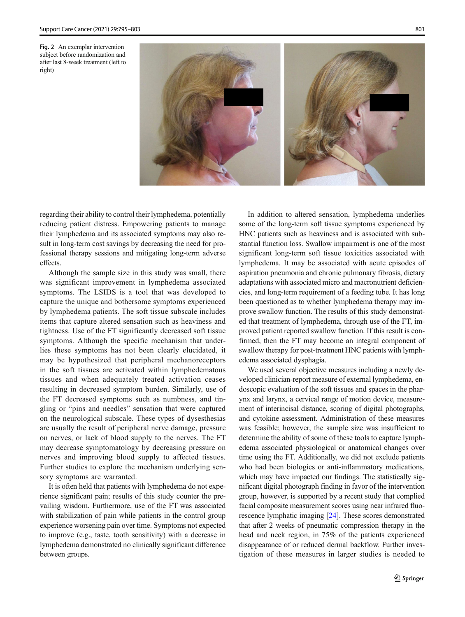<span id="page-6-0"></span>Fig. 2 An exemplar intervention subject before randomization and after last 8-week treatment (left to right)



regarding their ability to control their lymphedema, potentially reducing patient distress. Empowering patients to manage their lymphedema and its associated symptoms may also result in long-term cost savings by decreasing the need for professional therapy sessions and mitigating long-term adverse effects.

Although the sample size in this study was small, there was significant improvement in lymphedema associated symptoms. The LSIDS is a tool that was developed to capture the unique and bothersome symptoms experienced by lymphedema patients. The soft tissue subscale includes items that capture altered sensation such as heaviness and tightness. Use of the FT significantly decreased soft tissue symptoms. Although the specific mechanism that underlies these symptoms has not been clearly elucidated, it may be hypothesized that peripheral mechanoreceptors in the soft tissues are activated within lymphedematous tissues and when adequately treated activation ceases resulting in decreased symptom burden. Similarly, use of the FT decreased symptoms such as numbness, and tingling or "pins and needles" sensation that were captured on the neurological subscale. These types of dysesthesias are usually the result of peripheral nerve damage, pressure on nerves, or lack of blood supply to the nerves. The FT may decrease symptomatology by decreasing pressure on nerves and improving blood supply to affected tissues. Further studies to explore the mechanism underlying sensory symptoms are warranted.

It is often held that patients with lymphedema do not experience significant pain; results of this study counter the prevailing wisdom. Furthermore, use of the FT was associated with stabilization of pain while patients in the control group experience worsening pain over time. Symptoms not expected to improve (e.g., taste, tooth sensitivity) with a decrease in lymphedema demonstrated no clinically significant difference between groups.

In addition to altered sensation, lymphedema underlies some of the long-term soft tissue symptoms experienced by HNC patients such as heaviness and is associated with substantial function loss. Swallow impairment is one of the most significant long-term soft tissue toxicities associated with lymphedema. It may be associated with acute episodes of aspiration pneumonia and chronic pulmonary fibrosis, dietary adaptations with associated micro and macronutrient deficiencies, and long-term requirement of a feeding tube. It has long been questioned as to whether lymphedema therapy may improve swallow function. The results of this study demonstrated that treatment of lymphedema, through use of the FT, improved patient reported swallow function. If this result is confirmed, then the FT may become an integral component of swallow therapy for post-treatment HNC patients with lymphedema associated dysphagia.

We used several objective measures including a newly developed clinician-report measure of external lymphedema, endoscopic evaluation of the soft tissues and spaces in the pharynx and larynx, a cervical range of motion device, measurement of interincisal distance, scoring of digital photographs, and cytokine assessment. Administration of these measures was feasible; however, the sample size was insufficient to determine the ability of some of these tools to capture lymphedema associated physiological or anatomical changes over time using the FT. Additionally, we did not exclude patients who had been biologics or anti-inflammatory medications, which may have impacted our findings. The statistically significant digital photograph finding in favor of the intervention group, however, is supported by a recent study that complied facial composite measurement scores using near infrared fluorescence lymphatic imaging [\[24\]](#page-8-0). These scores demonstrated that after 2 weeks of pneumatic compression therapy in the head and neck region, in 75% of the patients experienced disappearance of or reduced dermal backflow. Further investigation of these measures in larger studies is needed to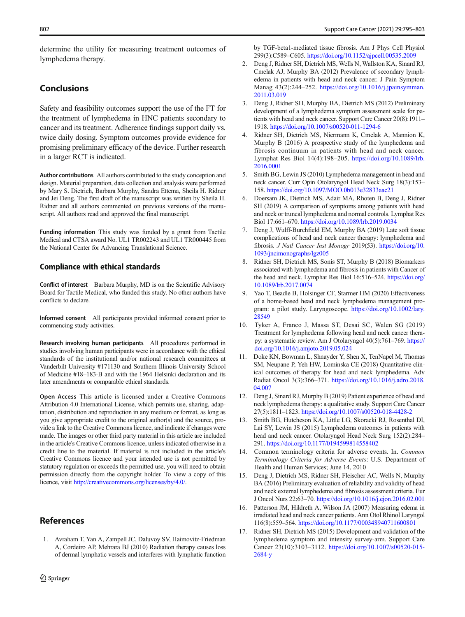<span id="page-7-0"></span>determine the utility for measuring treatment outcomes of lymphedema therapy.

# **Conclusions**

Safety and feasibility outcomes support the use of the FT for the treatment of lymphedema in HNC patients secondary to cancer and its treatment. Adherence findings support daily vs. twice daily dosing. Symptom outcomes provide evidence for promising preliminary efficacy of the device. Further research in a larger RCT is indicated.

Author contributions All authors contributed to the study conception and design. Material preparation, data collection and analysis were performed by Mary S. Dietrich, Barbara Murphy, Sandra Ettema, Sheila H. Ridner and Jei Deng. The first draft of the manuscript was written by Sheila H. Ridner and all authors commented on previous versions of the manuscript. All authors read and approved the final manuscript.

Funding information This study was funded by a grant from Tactile Medical and CTSA award No. UL1 TR002243 and UL1 TR000445 from the National Center for Advancing Translational Science.

#### Compliance with ethical standards

Conflict of interest Barbara Murphy, MD is on the Scientific Advisory Board for Tactile Medical, who funded this study. No other authors have conflicts to declare.

Informed consent All participants provided informed consent prior to commencing study activities.

Research involving human participants All procedures performed in studies involving human participants were in accordance with the ethical standards of the institutional and/or national research committees at Vanderbilt University #171130 and Southern Illinois University School of Medicine #18–183-B and with the 1964 Helsinki declaration and its later amendments or comparable ethical standards.

Open Access This article is licensed under a Creative Commons Attribution 4.0 International License, which permits use, sharing, adaptation, distribution and reproduction in any medium or format, as long as you give appropriate credit to the original author(s) and the source, provide a link to the Creative Commons licence, and indicate if changes were made. The images or other third party material in this article are included in the article's Creative Commons licence, unless indicated otherwise in a credit line to the material. If material is not included in the article's Creative Commons licence and your intended use is not permitted by statutory regulation or exceeds the permitted use, you will need to obtain permission directly from the copyright holder. To view a copy of this licence, visit <http://creativecommons.org/licenses/by/4.0/>.

## References

1. Avraham T, Yan A, Zampell JC, Daluvoy SV, Haimovitz-Friedman A, Cordeiro AP, Mehrara BJ (2010) Radiation therapy causes loss of dermal lymphatic vessels and interferes with lymphatic function by TGF-beta1-mediated tissue fibrosis. Am J Phys Cell Physiol 299(3):C589–C605. <https://doi.org/10.1152/ajpcell.00535.2009>

- 2. Deng J, Ridner SH, Dietrich MS, Wells N, Wallston KA, Sinard RJ, Cmelak AJ, Murphy BA (2012) Prevalence of secondary lymphedema in patients with head and neck cancer. J Pain Symptom Manag 43(2):244–252. [https://doi.org/10.1016/j.jpainsymman.](https://doi.org/10.1016/j.jpainsymman.2011.03.019) [2011.03.019](https://doi.org/10.1016/j.jpainsymman.2011.03.019)
- 3. Deng J, Ridner SH, Murphy BA, Dietrich MS (2012) Preliminary development of a lymphedema symptom assessment scale for patients with head and neck cancer. Support Care Cancer 20(8):1911– 1918. <https://doi.org/10.1007/s00520-011-1294-6>
- 4. Ridner SH, Dietrich MS, Niermann K, Cmelak A, Mannion K, Murphy B (2016) A prospective study of the lymphedema and fibrosis continuum in patients with head and neck cancer. Lymphat Res Biol 14(4):198–205. [https://doi.org/10.1089/lrb.](https://doi.org/10.1089/lrb.2016.0001) [2016.0001](https://doi.org/10.1089/lrb.2016.0001)
- 5. Smith BG, Lewin JS (2010) Lymphedema management in head and neck cancer. Curr Opin Otolaryngol Head Neck Surg 18(3):153– 158. <https://doi.org/10.1097/MOO.0b013e32833aac21>
- 6. Doersam JK, Dietrich MS, Adair MA, Rhoten B, Deng J, Ridner SH (2019) A comparison of symptoms among patients with head and neck or truncal lymphedema and normal controls. Lymphat Res Biol 17:661–670. <https://doi.org/10.1089/lrb.2019.0034>
- 7. Deng J, Wulff-Burchfield EM, Murphy BA (2019) Late soft tissue complications of head and neck cancer therapy: lymphedema and fibrosis. J Natl Cancer Inst Monogr 2019(53). [https://doi.org/10.](https://doi.org/10.1093/jncimonographs/lgz005) [1093/jncimonographs/lgz005](https://doi.org/10.1093/jncimonographs/lgz005)
- 8. Ridner SH, Dietrich MS, Sonis ST, Murphy B (2018) Biomarkers associated with lymphedema and fibrosis in patients with Cancer of the head and neck. Lymphat Res Biol 16:516–524. [https://doi.org/](http://creativecommons.org/licenses/by/4.0/) [10.1089/lrb.2017.0074](http://creativecommons.org/licenses/by/4.0/)
- 9. Yao T, Beadle B, Holsinger CF, Starmer HM (2020) Effectiveness of a home-based head and neck lymphedema management program: a pilot study. Laryngoscope. [https://doi.org/10.1002/lary.](https://doi.org/10.1002/lary.28549) [28549](https://doi.org/10.1002/lary.28549)
- 10. Tyker A, Franco J, Massa ST, Desai SC, Walen SG (2019) Treatment for lymphedema following head and neck cancer therapy: a systematic review. Am J Otolaryngol 40(5):761–769. [https://](https://doi.org/10.1016/j.amjoto.2019.05.024) [doi.org/10.1016/j.amjoto.2019.05.024](https://doi.org/10.1016/j.amjoto.2019.05.024)
- 11. Doke KN, Bowman L, Shnayder Y, Shen X, TenNapel M, Thomas SM, Neupane P, Yeh HW, Lominska CE (2018) Quantitative clinical outcomes of therapy for head and neck lymphedema. Adv Radiat Oncol 3(3):366–371. [https://doi.org/10.1016/j.adro.2018.](https://doi.org/10.1016/j.adro.2018.04.007) [04.007](https://doi.org/10.1016/j.adro.2018.04.007)
- 12. Deng J, Sinard RJ, Murphy B (2019) Patient experience of head and neck lymphedema therapy: a qualitative study. Support Care Cancer 27(5):1811–1823. <https://doi.org/10.1007/s00520-018-4428-2>
- 13. Smith BG, Hutcheson KA, Little LG, Skoracki RJ, Rosenthal DI, Lai SY, Lewin JS (2015) Lymphedema outcomes in patients with head and neck cancer. Otolaryngol Head Neck Surg 152(2):284– 291. <https://doi.org/10.1177/0194599814558402>
- 14. Common terminology criteria for adverse events. In. Common Terminology Criteria for Adverse Events: U.S. Department of Health and Human Services; June 14, 2010
- 15. Deng J, Dietrich MS, Ridner SH, Fleischer AC, Wells N, Murphy BA (2016) Preliminary evaluation of reliability and validity of head and neck external lymphedema and fibrosis assessment criteria. Eur J Oncol Nurs 22:63–70. <https://doi.org/10.1016/j.ejon.2016.02.001>
- 16. Patterson JM, Hildreth A, Wilson JA (2007) Measuring edema in irradiated head and neck cancer patients. Ann Otol Rhinol Laryngol 116(8):559–564. <https://doi.org/10.1177/000348940711600801>
- 17. Ridner SH, Dietrich MS (2015) Development and validation of the lymphedema symptom and intensity survey-arm. Support Care Cancer 23(10):3103–3112. [https://doi.org/10.1007/s00520-015-](https://doi.org/10.1007/s00520-015-2684-y) [2684-y](https://doi.org/10.1007/s00520-015-2684-y)